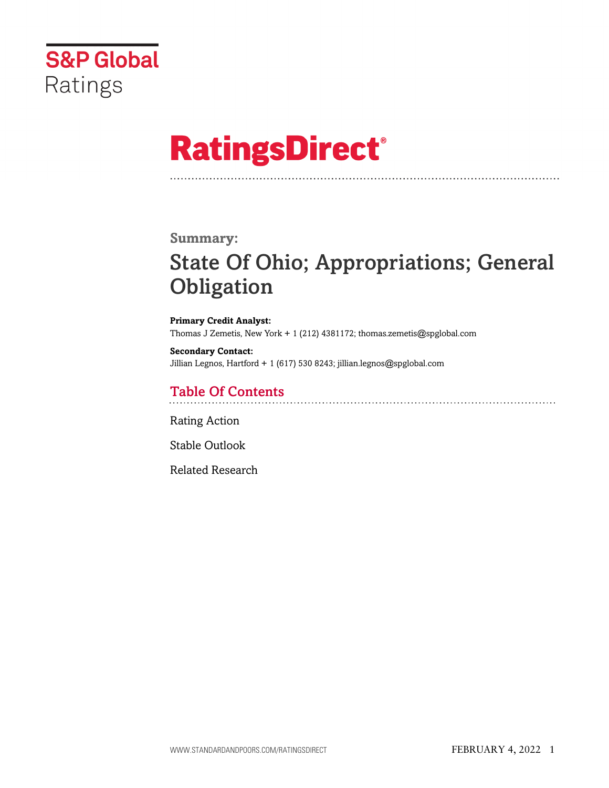

# **RatingsDirect®**

### **Summary:**

# State Of Ohio; Appropriations; General **Obligation**

**Primary Credit Analyst:** Thomas J Zemetis, New York + 1 (212) 4381172; thomas.zemetis@spglobal.com

**Secondary Contact:** Jillian Legnos, Hartford + 1 (617) 530 8243; jillian.legnos@spglobal.com

# Table Of Contents

[Rating Action](#page-1-0)

[Stable Outlook](#page-5-0)

[Related Research](#page-5-1)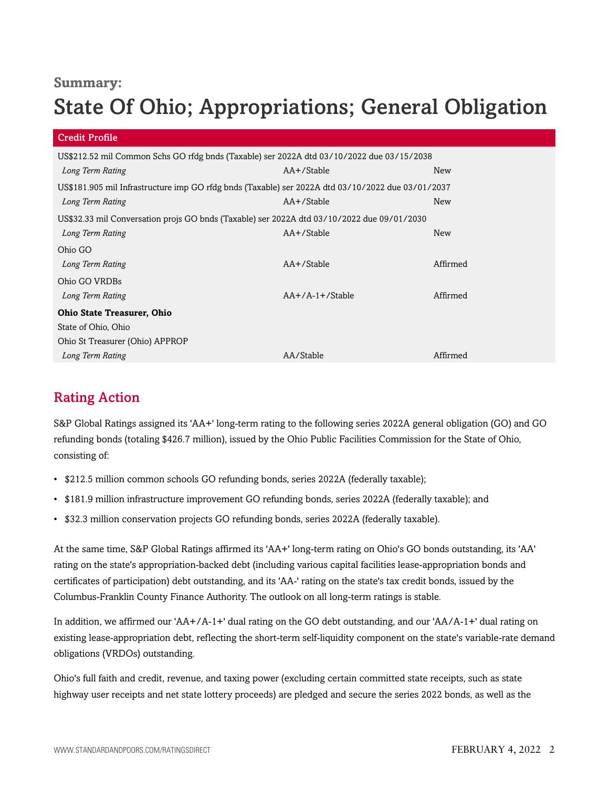## **Summary:**

# State Of Ohio; Appropriations; General Obligation

| Credit Profile                                                                                    |                   |            |  |
|---------------------------------------------------------------------------------------------------|-------------------|------------|--|
| US\$212.52 mil Common Schs GO rfdg bnds (Taxable) ser 2022A dtd 03/10/2022 due 03/15/2038         |                   |            |  |
| Long Term Rating                                                                                  | AA+/Stable        | New        |  |
| US\$181.905 mil Infrastructure imp GO rfdg bnds (Taxable) ser 2022A dtd 03/10/2022 due 03/01/2037 |                   |            |  |
| Long Term Rating                                                                                  | AA+/Stable        | <b>New</b> |  |
| US\$32.33 mil Conversation projs GO bnds (Taxable) ser 2022A dtd 03/10/2022 due 09/01/2030        |                   |            |  |
| Long Term Rating                                                                                  | AA+/Stable        | New        |  |
| Ohio GO                                                                                           |                   |            |  |
| Long Term Rating                                                                                  | AA+/Stable        | Affirmed   |  |
| Ohio GO VRDBs                                                                                     |                   |            |  |
| Long Term Rating                                                                                  | $AA+/A-1+/Stable$ | Affirmed   |  |
| <b>Ohio State Treasurer, Ohio</b>                                                                 |                   |            |  |
| State of Ohio, Ohio                                                                               |                   |            |  |
| Ohio St Treasurer (Ohio) APPROP                                                                   |                   |            |  |
| Long Term Rating                                                                                  | AA/Stable         | Affirmed   |  |

# <span id="page-1-0"></span>Rating Action

S&P Global Ratings assigned its 'AA+' long-term rating to the following series 2022A general obligation (GO) and GO refunding bonds (totaling \$426.7 million), issued by the Ohio Public Facilities Commission for the State of Ohio, consisting of:

- \$212.5 million common schools GO refunding bonds, series 2022A (federally taxable);
- \$181.9 million infrastructure improvement GO refunding bonds, series 2022A (federally taxable); and
- \$32.3 million conservation projects GO refunding bonds, series 2022A (federally taxable).

At the same time, S&P Global Ratings affirmed its 'AA+' long-term rating on Ohio's GO bonds outstanding, its 'AA' rating on the state's appropriation-backed debt (including various capital facilities lease-appropriation bonds and certificates of participation) debt outstanding, and its 'AA-' rating on the state's tax credit bonds, issued by the Columbus-Franklin County Finance Authority. The outlook on all long-term ratings is stable.

In addition, we affirmed our 'AA+/A-1+' dual rating on the GO debt outstanding, and our 'AA/A-1+' dual rating on existing lease-appropriation debt, reflecting the short-term self-liquidity component on the state's variable-rate demand obligations (VRDOs) outstanding.

Ohio's full faith and credit, revenue, and taxing power (excluding certain committed state receipts, such as state highway user receipts and net state lottery proceeds) are pledged and secure the series 2022 bonds, as well as the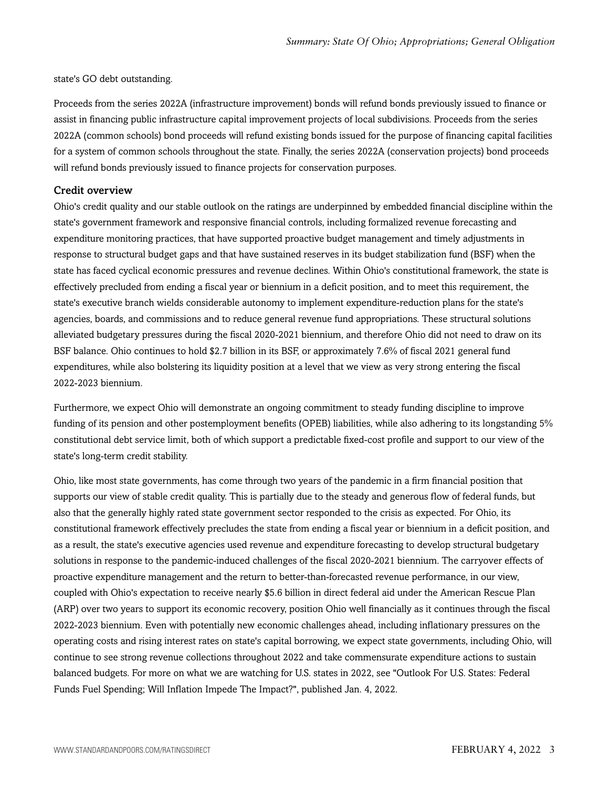state's GO debt outstanding.

Proceeds from the series 2022A (infrastructure improvement) bonds will refund bonds previously issued to finance or assist in financing public infrastructure capital improvement projects of local subdivisions. Proceeds from the series 2022A (common schools) bond proceeds will refund existing bonds issued for the purpose of financing capital facilities for a system of common schools throughout the state. Finally, the series 2022A (conservation projects) bond proceeds will refund bonds previously issued to finance projects for conservation purposes.

#### Credit overview

Ohio's credit quality and our stable outlook on the ratings are underpinned by embedded financial discipline within the state's government framework and responsive financial controls, including formalized revenue forecasting and expenditure monitoring practices, that have supported proactive budget management and timely adjustments in response to structural budget gaps and that have sustained reserves in its budget stabilization fund (BSF) when the state has faced cyclical economic pressures and revenue declines. Within Ohio's constitutional framework, the state is effectively precluded from ending a fiscal year or biennium in a deficit position, and to meet this requirement, the state's executive branch wields considerable autonomy to implement expenditure-reduction plans for the state's agencies, boards, and commissions and to reduce general revenue fund appropriations. These structural solutions alleviated budgetary pressures during the fiscal 2020-2021 biennium, and therefore Ohio did not need to draw on its BSF balance. Ohio continues to hold \$2.7 billion in its BSF, or approximately 7.6% of fiscal 2021 general fund expenditures, while also bolstering its liquidity position at a level that we view as very strong entering the fiscal 2022-2023 biennium.

Furthermore, we expect Ohio will demonstrate an ongoing commitment to steady funding discipline to improve funding of its pension and other postemployment benefits (OPEB) liabilities, while also adhering to its longstanding 5% constitutional debt service limit, both of which support a predictable fixed-cost profile and support to our view of the state's long-term credit stability.

Ohio, like most state governments, has come through two years of the pandemic in a firm financial position that supports our view of stable credit quality. This is partially due to the steady and generous flow of federal funds, but also that the generally highly rated state government sector responded to the crisis as expected. For Ohio, its constitutional framework effectively precludes the state from ending a fiscal year or biennium in a deficit position, and as a result, the state's executive agencies used revenue and expenditure forecasting to develop structural budgetary solutions in response to the pandemic-induced challenges of the fiscal 2020-2021 biennium. The carryover effects of proactive expenditure management and the return to better-than-forecasted revenue performance, in our view, coupled with Ohio's expectation to receive nearly \$5.6 billion in direct federal aid under the American Rescue Plan (ARP) over two years to support its economic recovery, position Ohio well financially as it continues through the fiscal 2022-2023 biennium. Even with potentially new economic challenges ahead, including inflationary pressures on the operating costs and rising interest rates on state's capital borrowing, we expect state governments, including Ohio, will continue to see strong revenue collections throughout 2022 and take commensurate expenditure actions to sustain balanced budgets. For more on what we are watching for U.S. states in 2022, see "Outlook For U.S. States: Federal Funds Fuel Spending; Will Inflation Impede The Impact?", published Jan. 4, 2022.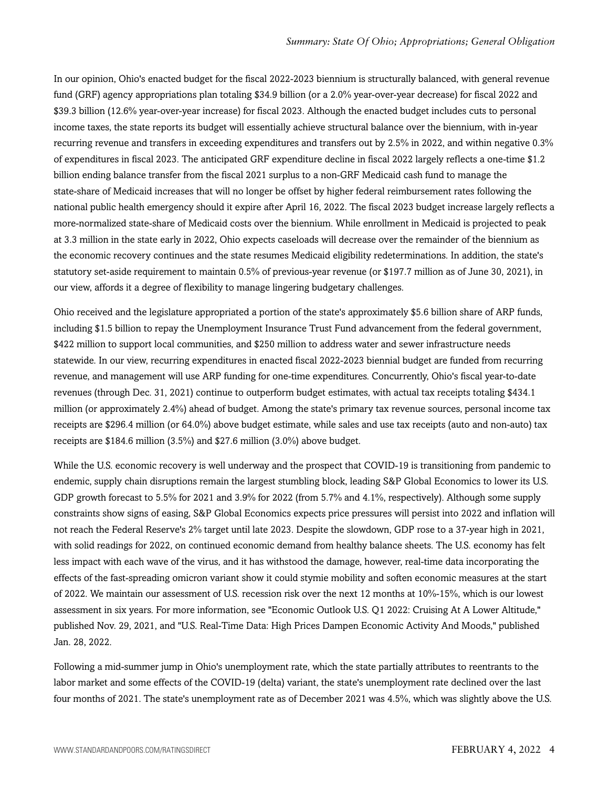In our opinion, Ohio's enacted budget for the fiscal 2022-2023 biennium is structurally balanced, with general revenue fund (GRF) agency appropriations plan totaling \$34.9 billion (or a 2.0% year-over-year decrease) for fiscal 2022 and \$39.3 billion (12.6% year-over-year increase) for fiscal 2023. Although the enacted budget includes cuts to personal income taxes, the state reports its budget will essentially achieve structural balance over the biennium, with in-year recurring revenue and transfers in exceeding expenditures and transfers out by 2.5% in 2022, and within negative 0.3% of expenditures in fiscal 2023. The anticipated GRF expenditure decline in fiscal 2022 largely reflects a one-time \$1.2 billion ending balance transfer from the fiscal 2021 surplus to a non-GRF Medicaid cash fund to manage the state-share of Medicaid increases that will no longer be offset by higher federal reimbursement rates following the national public health emergency should it expire after April 16, 2022. The fiscal 2023 budget increase largely reflects a more-normalized state-share of Medicaid costs over the biennium. While enrollment in Medicaid is projected to peak at 3.3 million in the state early in 2022, Ohio expects caseloads will decrease over the remainder of the biennium as the economic recovery continues and the state resumes Medicaid eligibility redeterminations. In addition, the state's statutory set-aside requirement to maintain 0.5% of previous-year revenue (or \$197.7 million as of June 30, 2021), in our view, affords it a degree of flexibility to manage lingering budgetary challenges.

Ohio received and the legislature appropriated a portion of the state's approximately \$5.6 billion share of ARP funds, including \$1.5 billion to repay the Unemployment Insurance Trust Fund advancement from the federal government, \$422 million to support local communities, and \$250 million to address water and sewer infrastructure needs statewide. In our view, recurring expenditures in enacted fiscal 2022-2023 biennial budget are funded from recurring revenue, and management will use ARP funding for one-time expenditures. Concurrently, Ohio's fiscal year-to-date revenues (through Dec. 31, 2021) continue to outperform budget estimates, with actual tax receipts totaling \$434.1 million (or approximately 2.4%) ahead of budget. Among the state's primary tax revenue sources, personal income tax receipts are \$296.4 million (or 64.0%) above budget estimate, while sales and use tax receipts (auto and non-auto) tax receipts are \$184.6 million (3.5%) and \$27.6 million (3.0%) above budget.

While the U.S. economic recovery is well underway and the prospect that COVID-19 is transitioning from pandemic to endemic, supply chain disruptions remain the largest stumbling block, leading S&P Global Economics to lower its U.S. GDP growth forecast to 5.5% for 2021 and 3.9% for 2022 (from 5.7% and 4.1%, respectively). Although some supply constraints show signs of easing, S&P Global Economics expects price pressures will persist into 2022 and inflation will not reach the Federal Reserve's 2% target until late 2023. Despite the slowdown, GDP rose to a 37-year high in 2021, with solid readings for 2022, on continued economic demand from healthy balance sheets. The U.S. economy has felt less impact with each wave of the virus, and it has withstood the damage, however, real-time data incorporating the effects of the fast-spreading omicron variant show it could stymie mobility and soften economic measures at the start of 2022. We maintain our assessment of U.S. recession risk over the next 12 months at 10%-15%, which is our lowest assessment in six years. For more information, see "Economic Outlook U.S. Q1 2022: Cruising At A Lower Altitude," published Nov. 29, 2021, and "U.S. Real-Time Data: High Prices Dampen Economic Activity And Moods," published Jan. 28, 2022.

Following a mid-summer jump in Ohio's unemployment rate, which the state partially attributes to reentrants to the labor market and some effects of the COVID-19 (delta) variant, the state's unemployment rate declined over the last four months of 2021. The state's unemployment rate as of December 2021 was 4.5%, which was slightly above the U.S.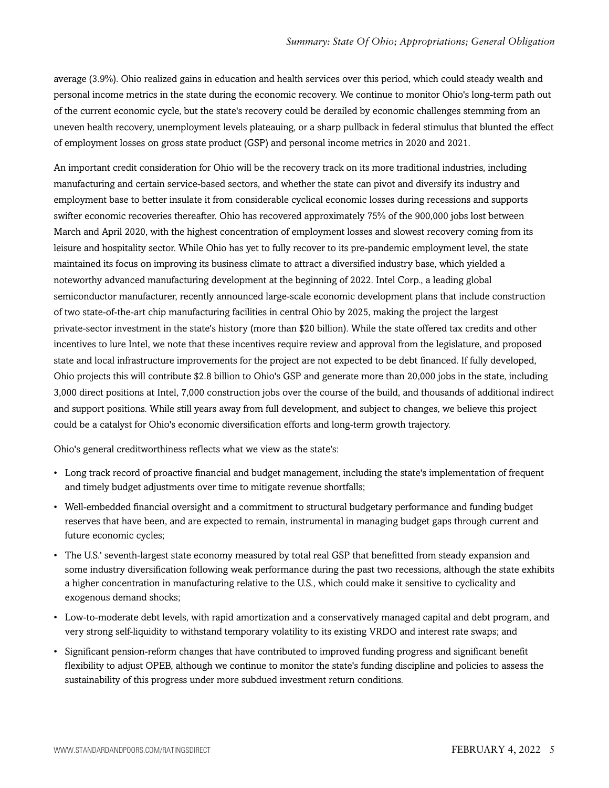average (3.9%). Ohio realized gains in education and health services over this period, which could steady wealth and personal income metrics in the state during the economic recovery. We continue to monitor Ohio's long-term path out of the current economic cycle, but the state's recovery could be derailed by economic challenges stemming from an uneven health recovery, unemployment levels plateauing, or a sharp pullback in federal stimulus that blunted the effect of employment losses on gross state product (GSP) and personal income metrics in 2020 and 2021.

An important credit consideration for Ohio will be the recovery track on its more traditional industries, including manufacturing and certain service-based sectors, and whether the state can pivot and diversify its industry and employment base to better insulate it from considerable cyclical economic losses during recessions and supports swifter economic recoveries thereafter. Ohio has recovered approximately 75% of the 900,000 jobs lost between March and April 2020, with the highest concentration of employment losses and slowest recovery coming from its leisure and hospitality sector. While Ohio has yet to fully recover to its pre-pandemic employment level, the state maintained its focus on improving its business climate to attract a diversified industry base, which yielded a noteworthy advanced manufacturing development at the beginning of 2022. Intel Corp., a leading global semiconductor manufacturer, recently announced large-scale economic development plans that include construction of two state-of-the-art chip manufacturing facilities in central Ohio by 2025, making the project the largest private-sector investment in the state's history (more than \$20 billion). While the state offered tax credits and other incentives to lure Intel, we note that these incentives require review and approval from the legislature, and proposed state and local infrastructure improvements for the project are not expected to be debt financed. If fully developed, Ohio projects this will contribute \$2.8 billion to Ohio's GSP and generate more than 20,000 jobs in the state, including 3,000 direct positions at Intel, 7,000 construction jobs over the course of the build, and thousands of additional indirect and support positions. While still years away from full development, and subject to changes, we believe this project could be a catalyst for Ohio's economic diversification efforts and long-term growth trajectory.

Ohio's general creditworthiness reflects what we view as the state's:

- Long track record of proactive financial and budget management, including the state's implementation of frequent and timely budget adjustments over time to mitigate revenue shortfalls;
- Well-embedded financial oversight and a commitment to structural budgetary performance and funding budget reserves that have been, and are expected to remain, instrumental in managing budget gaps through current and future economic cycles;
- The U.S.' seventh-largest state economy measured by total real GSP that benefitted from steady expansion and some industry diversification following weak performance during the past two recessions, although the state exhibits a higher concentration in manufacturing relative to the U.S., which could make it sensitive to cyclicality and exogenous demand shocks;
- Low-to-moderate debt levels, with rapid amortization and a conservatively managed capital and debt program, and very strong self-liquidity to withstand temporary volatility to its existing VRDO and interest rate swaps; and
- Significant pension-reform changes that have contributed to improved funding progress and significant benefit flexibility to adjust OPEB, although we continue to monitor the state's funding discipline and policies to assess the sustainability of this progress under more subdued investment return conditions.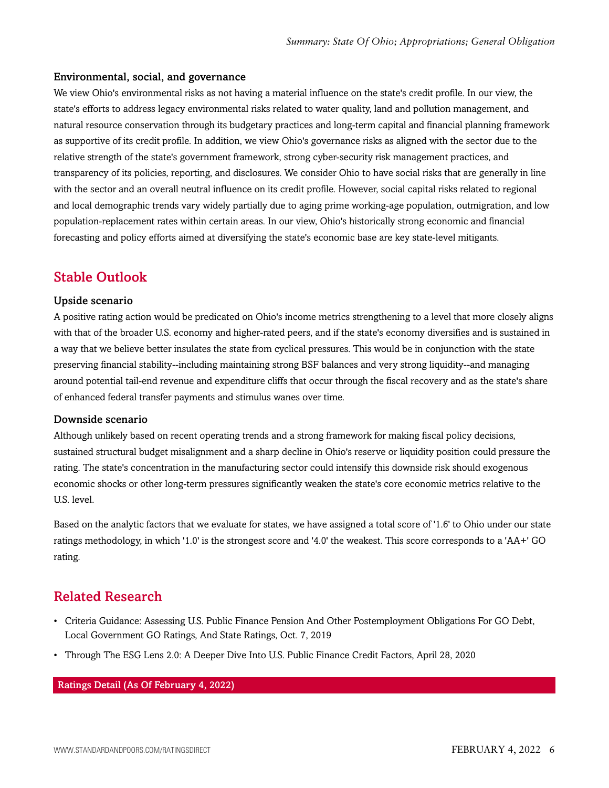#### Environmental, social, and governance

We view Ohio's environmental risks as not having a material influence on the state's credit profile. In our view, the state's efforts to address legacy environmental risks related to water quality, land and pollution management, and natural resource conservation through its budgetary practices and long-term capital and financial planning framework as supportive of its credit profile. In addition, we view Ohio's governance risks as aligned with the sector due to the relative strength of the state's government framework, strong cyber-security risk management practices, and transparency of its policies, reporting, and disclosures. We consider Ohio to have social risks that are generally in line with the sector and an overall neutral influence on its credit profile. However, social capital risks related to regional and local demographic trends vary widely partially due to aging prime working-age population, outmigration, and low population-replacement rates within certain areas. In our view, Ohio's historically strong economic and financial forecasting and policy efforts aimed at diversifying the state's economic base are key state-level mitigants.

# <span id="page-5-0"></span>Stable Outlook

#### Upside scenario

A positive rating action would be predicated on Ohio's income metrics strengthening to a level that more closely aligns with that of the broader U.S. economy and higher-rated peers, and if the state's economy diversifies and is sustained in a way that we believe better insulates the state from cyclical pressures. This would be in conjunction with the state preserving financial stability--including maintaining strong BSF balances and very strong liquidity--and managing around potential tail-end revenue and expenditure cliffs that occur through the fiscal recovery and as the state's share of enhanced federal transfer payments and stimulus wanes over time.

#### Downside scenario

Although unlikely based on recent operating trends and a strong framework for making fiscal policy decisions, sustained structural budget misalignment and a sharp decline in Ohio's reserve or liquidity position could pressure the rating. The state's concentration in the manufacturing sector could intensify this downside risk should exogenous economic shocks or other long-term pressures significantly weaken the state's core economic metrics relative to the U.S. level.

Based on the analytic factors that we evaluate for states, we have assigned a total score of '1.6' to Ohio under our state ratings methodology, in which '1.0' is the strongest score and '4.0' the weakest. This score corresponds to a 'AA+' GO rating.

## <span id="page-5-1"></span>Related Research

- Criteria Guidance: Assessing U.S. Public Finance Pension And Other Postemployment Obligations For GO Debt, Local Government GO Ratings, And State Ratings, Oct. 7, 2019
- Through The ESG Lens 2.0: A Deeper Dive Into U.S. Public Finance Credit Factors, April 28, 2020

Ratings Detail (As Of February 4, 2022)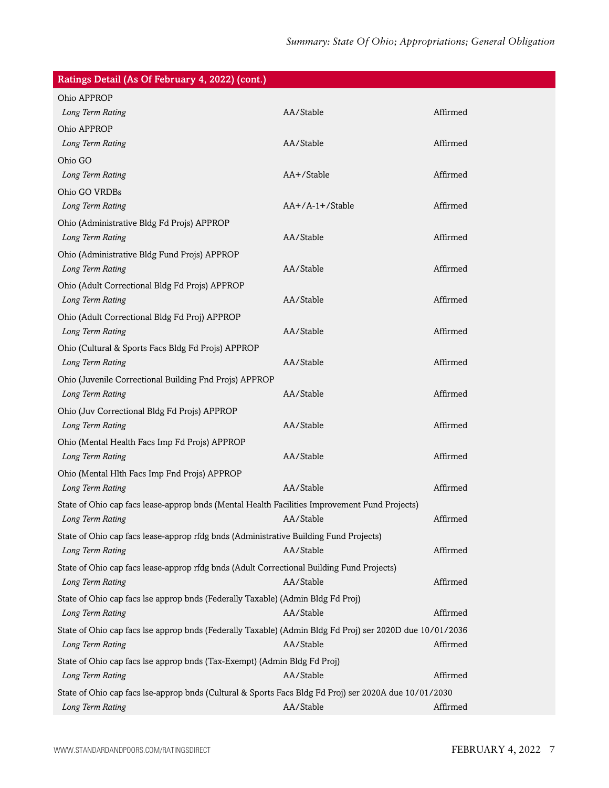| Ratings Detail (As Of February 4, 2022) (cont.)                                                          |                   |          |
|----------------------------------------------------------------------------------------------------------|-------------------|----------|
| Ohio APPROP                                                                                              |                   |          |
| Long Term Rating                                                                                         | AA/Stable         | Affirmed |
| Ohio APPROP                                                                                              |                   |          |
| Long Term Rating                                                                                         | AA/Stable         | Affirmed |
| Ohio GO                                                                                                  |                   |          |
| Long Term Rating                                                                                         | AA+/Stable        | Affirmed |
| Ohio GO VRDBs                                                                                            |                   |          |
| Long Term Rating                                                                                         | $AA+/A-1+/Stable$ | Affirmed |
| Ohio (Administrative Bldg Fd Projs) APPROP                                                               |                   |          |
| Long Term Rating                                                                                         | AA/Stable         | Affirmed |
| Ohio (Administrative Bldg Fund Projs) APPROP                                                             |                   |          |
| Long Term Rating                                                                                         | AA/Stable         | Affirmed |
| Ohio (Adult Correctional Bldg Fd Projs) APPROP                                                           |                   |          |
| Long Term Rating                                                                                         | AA/Stable         | Affirmed |
| Ohio (Adult Correctional Bldg Fd Proj) APPROP                                                            |                   |          |
| Long Term Rating                                                                                         | AA/Stable         | Affirmed |
| Ohio (Cultural & Sports Facs Bldg Fd Projs) APPROP                                                       |                   |          |
| Long Term Rating                                                                                         | AA/Stable         | Affirmed |
| Ohio (Juvenile Correctional Building Fnd Projs) APPROP                                                   |                   |          |
| Long Term Rating                                                                                         | AA/Stable         | Affirmed |
| Ohio (Juv Correctional Bldg Fd Projs) APPROP                                                             |                   |          |
| Long Term Rating                                                                                         | AA/Stable         | Affirmed |
| Ohio (Mental Health Facs Imp Fd Projs) APPROP                                                            |                   |          |
| Long Term Rating                                                                                         | AA/Stable         | Affirmed |
| Ohio (Mental Hlth Facs Imp Fnd Projs) APPROP                                                             |                   |          |
| Long Term Rating                                                                                         | AA/Stable         | Affirmed |
| State of Ohio cap facs lease-approp bnds (Mental Health Facilities Improvement Fund Projects)            |                   |          |
| Long Term Rating                                                                                         | AA/Stable         | Affirmed |
| State of Ohio cap facs lease-approp rfdg bnds (Administrative Building Fund Projects)                    |                   |          |
| Long Term Rating                                                                                         | AA/Stable         | Affirmed |
| State of Ohio cap facs lease-approp rfdg bnds (Adult Correctional Building Fund Projects)                |                   |          |
| Long Term Rating                                                                                         | AA/Stable         | Affirmed |
| State of Ohio cap facs lse approp bnds (Federally Taxable) (Admin Bldg Fd Proj)                          |                   |          |
| Long Term Rating                                                                                         | AA/Stable         | Affirmed |
| State of Ohio cap facs lse approp bnds (Federally Taxable) (Admin Bldg Fd Proj) ser 2020D due 10/01/2036 |                   |          |
| Long Term Rating                                                                                         | AA/Stable         | Affirmed |
| State of Ohio cap facs lse approp bnds (Tax-Exempt) (Admin Bldg Fd Proj)                                 |                   |          |
| Long Term Rating                                                                                         | AA/Stable         | Affirmed |
| State of Ohio cap facs lse-approp bnds (Cultural & Sports Facs Bldg Fd Proj) ser 2020A due 10/01/2030    |                   |          |
| Long Term Rating                                                                                         | AA/Stable         | Affirmed |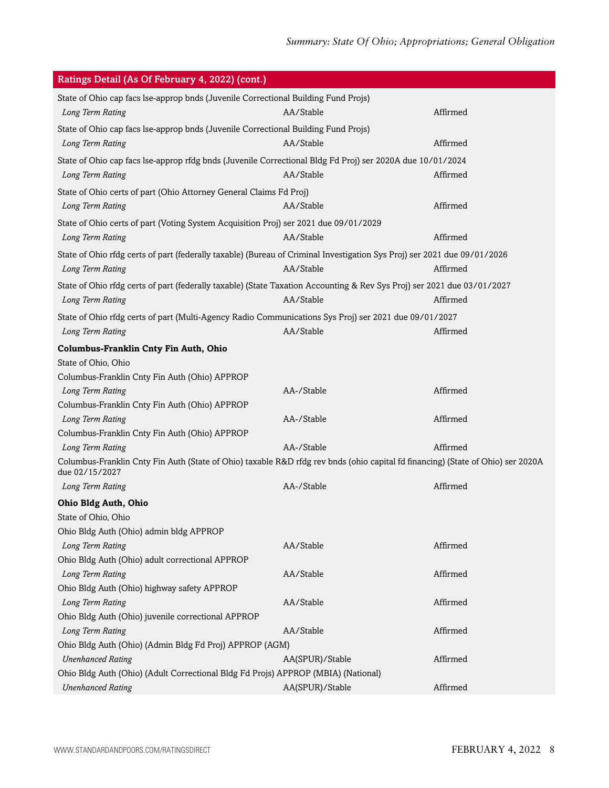| Ratings Detail (As Of February 4, 2022) (cont.)                                                                                                   |                 |          |
|---------------------------------------------------------------------------------------------------------------------------------------------------|-----------------|----------|
| State of Ohio cap facs Ise-approp bnds (Juvenile Correctional Building Fund Projs)                                                                |                 |          |
| Long Term Rating                                                                                                                                  | AA/Stable       | Affirmed |
| State of Ohio cap facs Ise-approp bnds (Juvenile Correctional Building Fund Projs)                                                                |                 |          |
| Long Term Rating                                                                                                                                  | AA/Stable       | Affirmed |
| State of Ohio cap facs lse-approp rfdg bnds (Juvenile Correctional Bldg Fd Proj) ser 2020A due 10/01/2024                                         |                 |          |
| Long Term Rating                                                                                                                                  | AA/Stable       | Affirmed |
| State of Ohio certs of part (Ohio Attorney General Claims Fd Proj)                                                                                |                 |          |
| Long Term Rating                                                                                                                                  | AA/Stable       | Affirmed |
|                                                                                                                                                   |                 |          |
| State of Ohio certs of part (Voting System Acquisition Proj) ser 2021 due 09/01/2029                                                              | AA/Stable       | Affirmed |
| Long Term Rating                                                                                                                                  |                 |          |
| State of Ohio rfdg certs of part (federally taxable) (Bureau of Criminal Investigation Sys Proj) ser 2021 due 09/01/2026                          |                 |          |
| Long Term Rating                                                                                                                                  | AA/Stable       | Affirmed |
| State of Ohio rfdg certs of part (federally taxable) (State Taxation Accounting & Rev Sys Proj) ser 2021 due 03/01/2027                           |                 |          |
| Long Term Rating                                                                                                                                  | AA/Stable       | Affirmed |
| State of Ohio rfdg certs of part (Multi-Agency Radio Communications Sys Proj) ser 2021 due 09/01/2027                                             |                 |          |
| Long Term Rating                                                                                                                                  | AA/Stable       | Affirmed |
| Columbus-Franklin Cnty Fin Auth, Ohio                                                                                                             |                 |          |
| State of Ohio, Ohio                                                                                                                               |                 |          |
| Columbus-Franklin Cnty Fin Auth (Ohio) APPROP                                                                                                     |                 |          |
| Long Term Rating                                                                                                                                  | AA-/Stable      | Affirmed |
| Columbus-Franklin Cnty Fin Auth (Ohio) APPROP                                                                                                     |                 |          |
| Long Term Rating                                                                                                                                  | AA-/Stable      | Affirmed |
| Columbus-Franklin Cnty Fin Auth (Ohio) APPROP                                                                                                     |                 |          |
| Long Term Rating                                                                                                                                  | AA-/Stable      | Affirmed |
| Columbus-Franklin Cnty Fin Auth (State of Ohio) taxable R&D rfdg rev bnds (ohio capital fd financing) (State of Ohio) ser 2020A<br>due 02/15/2027 |                 |          |
| Long Term Rating                                                                                                                                  | AA-/Stable      | Affirmed |
| Ohio Bldg Auth, Ohio                                                                                                                              |                 |          |
| State of Ohio, Ohio                                                                                                                               |                 |          |
| Ohio Bldg Auth (Ohio) admin bldg APPROP                                                                                                           |                 |          |
| Long Term Rating                                                                                                                                  | AA/Stable       | Affirmed |
| Ohio Bldg Auth (Ohio) adult correctional APPROP                                                                                                   |                 |          |
| Long Term Rating                                                                                                                                  | AA/Stable       | Affirmed |
| Ohio Bldg Auth (Ohio) highway safety APPROP                                                                                                       |                 |          |
| Long Term Rating                                                                                                                                  | AA/Stable       | Affirmed |
| Ohio Bldg Auth (Ohio) juvenile correctional APPROP                                                                                                |                 |          |
| Long Term Rating                                                                                                                                  | AA/Stable       | Affirmed |
| Ohio Bldg Auth (Ohio) (Admin Bldg Fd Proj) APPROP (AGM)                                                                                           |                 |          |
| <b>Unenhanced Rating</b>                                                                                                                          | AA(SPUR)/Stable | Affirmed |
| Ohio Bldg Auth (Ohio) (Adult Correctional Bldg Fd Projs) APPROP (MBIA) (National)                                                                 |                 |          |
| <b>Unenhanced Rating</b>                                                                                                                          | AA(SPUR)/Stable | Affirmed |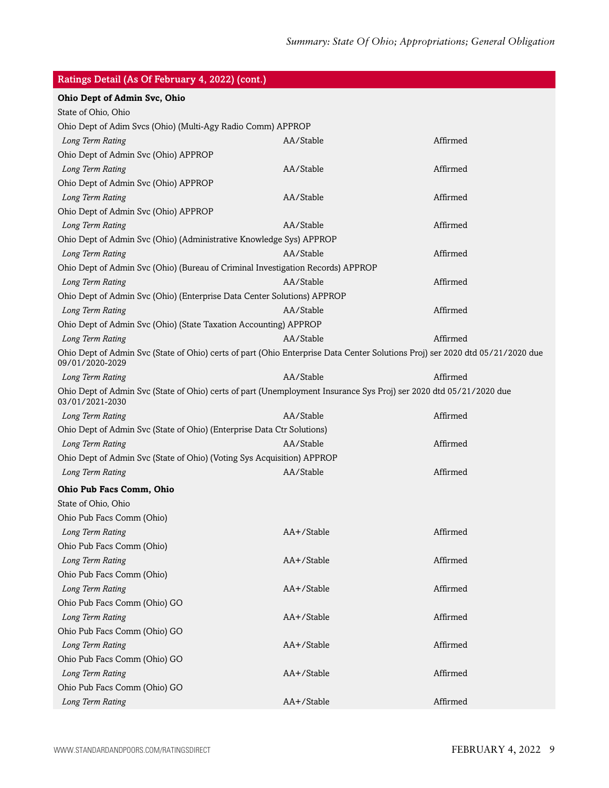| Ratings Detail (As Of February 4, 2022) (cont.)                                                                                       |            |          |
|---------------------------------------------------------------------------------------------------------------------------------------|------------|----------|
| Ohio Dept of Admin Svc, Ohio                                                                                                          |            |          |
| State of Ohio, Ohio                                                                                                                   |            |          |
| Ohio Dept of Adim Svcs (Ohio) (Multi-Agy Radio Comm) APPROP                                                                           |            |          |
| Long Term Rating                                                                                                                      | AA/Stable  | Affirmed |
| Ohio Dept of Admin Svc (Ohio) APPROP                                                                                                  |            |          |
| Long Term Rating                                                                                                                      | AA/Stable  | Affirmed |
| Ohio Dept of Admin Svc (Ohio) APPROP                                                                                                  |            |          |
| Long Term Rating                                                                                                                      | AA/Stable  | Affirmed |
| Ohio Dept of Admin Svc (Ohio) APPROP                                                                                                  |            |          |
| Long Term Rating                                                                                                                      | AA/Stable  | Affirmed |
| Ohio Dept of Admin Svc (Ohio) (Administrative Knowledge Sys) APPROP                                                                   |            |          |
| Long Term Rating                                                                                                                      | AA/Stable  | Affirmed |
| Ohio Dept of Admin Svc (Ohio) (Bureau of Criminal Investigation Records) APPROP                                                       |            |          |
| Long Term Rating                                                                                                                      | AA/Stable  | Affirmed |
| Ohio Dept of Admin Svc (Ohio) (Enterprise Data Center Solutions) APPROP                                                               |            |          |
| Long Term Rating                                                                                                                      | AA/Stable  | Affirmed |
| Ohio Dept of Admin Svc (Ohio) (State Taxation Accounting) APPROP                                                                      |            |          |
| Long Term Rating                                                                                                                      | AA/Stable  | Affirmed |
| Ohio Dept of Admin Svc (State of Ohio) certs of part (Ohio Enterprise Data Center Solutions Proj) ser 2020 dtd 05/21/2020 due         |            |          |
| 09/01/2020-2029                                                                                                                       |            |          |
| Long Term Rating                                                                                                                      | AA/Stable  | Affirmed |
| Ohio Dept of Admin Svc (State of Ohio) certs of part (Unemployment Insurance Sys Proj) ser 2020 dtd 05/21/2020 due<br>03/01/2021-2030 |            |          |
| Long Term Rating                                                                                                                      | AA/Stable  | Affirmed |
| Ohio Dept of Admin Svc (State of Ohio) (Enterprise Data Ctr Solutions)                                                                |            |          |
| Long Term Rating                                                                                                                      | AA/Stable  | Affirmed |
| Ohio Dept of Admin Svc (State of Ohio) (Voting Sys Acquisition) APPROP                                                                |            |          |
| Long Term Rating                                                                                                                      | AA/Stable  | Affirmed |
| Ohio Pub Facs Comm, Ohio                                                                                                              |            |          |
| State of Ohio, Ohio                                                                                                                   |            |          |
| Ohio Pub Facs Comm (Ohio)                                                                                                             |            |          |
| Long Term Rating                                                                                                                      | AA+/Stable | Affirmed |
| Ohio Pub Facs Comm (Ohio)                                                                                                             |            |          |
| Long Term Rating                                                                                                                      | AA+/Stable | Affirmed |
| Ohio Pub Facs Comm (Ohio)                                                                                                             |            |          |
| Long Term Rating                                                                                                                      | AA+/Stable | Affirmed |
| Ohio Pub Facs Comm (Ohio) GO                                                                                                          |            |          |
| Long Term Rating                                                                                                                      | AA+/Stable | Affirmed |
| Ohio Pub Facs Comm (Ohio) GO                                                                                                          |            |          |
| Long Term Rating                                                                                                                      | AA+/Stable | Affirmed |
| Ohio Pub Facs Comm (Ohio) GO                                                                                                          |            |          |
| Long Term Rating                                                                                                                      | AA+/Stable | Affirmed |
| Ohio Pub Facs Comm (Ohio) GO                                                                                                          |            |          |
| Long Term Rating                                                                                                                      | AA+/Stable | Affirmed |
|                                                                                                                                       |            |          |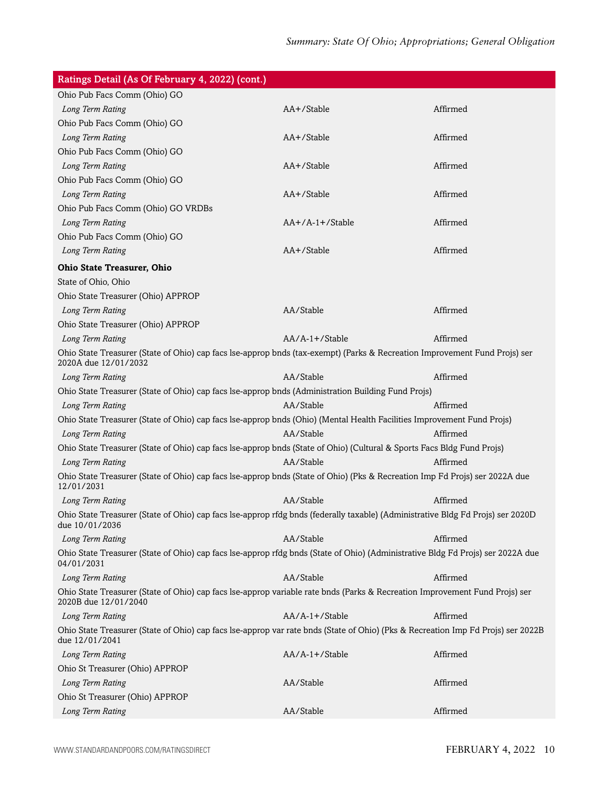| Ratings Detail (As Of February 4, 2022) (cont.)                                                                                                     |                 |          |
|-----------------------------------------------------------------------------------------------------------------------------------------------------|-----------------|----------|
| Ohio Pub Facs Comm (Ohio) GO                                                                                                                        |                 |          |
| Long Term Rating                                                                                                                                    | AA+/Stable      | Affirmed |
| Ohio Pub Facs Comm (Ohio) GO                                                                                                                        |                 |          |
| Long Term Rating                                                                                                                                    | AA+/Stable      | Affirmed |
| Ohio Pub Facs Comm (Ohio) GO                                                                                                                        |                 |          |
| Long Term Rating                                                                                                                                    | AA+/Stable      | Affirmed |
| Ohio Pub Facs Comm (Ohio) GO                                                                                                                        |                 |          |
| Long Term Rating                                                                                                                                    | AA+/Stable      | Affirmed |
| Ohio Pub Facs Comm (Ohio) GO VRDBs                                                                                                                  |                 |          |
| Long Term Rating                                                                                                                                    | AA+/A-1+/Stable | Affirmed |
| Ohio Pub Facs Comm (Ohio) GO                                                                                                                        |                 |          |
| Long Term Rating                                                                                                                                    | AA+/Stable      | Affirmed |
| <b>Ohio State Treasurer, Ohio</b>                                                                                                                   |                 |          |
| State of Ohio, Ohio                                                                                                                                 |                 |          |
| Ohio State Treasurer (Ohio) APPROP                                                                                                                  |                 |          |
| Long Term Rating                                                                                                                                    | AA/Stable       | Affirmed |
| Ohio State Treasurer (Ohio) APPROP                                                                                                                  |                 |          |
| Long Term Rating                                                                                                                                    | AA/A-1+/Stable  | Affirmed |
| Ohio State Treasurer (State of Ohio) cap facs lse-approp bnds (tax-exempt) (Parks & Recreation Improvement Fund Projs) ser<br>2020A due 12/01/2032  |                 |          |
| Long Term Rating                                                                                                                                    | AA/Stable       | Affirmed |
| Ohio State Treasurer (State of Ohio) cap facs lse-approp bnds (Administration Building Fund Projs)                                                  |                 |          |
| Long Term Rating                                                                                                                                    | AA/Stable       | Affirmed |
| Ohio State Treasurer (State of Ohio) cap facs lse-approp bnds (Ohio) (Mental Health Facilities Improvement Fund Projs)                              |                 |          |
| Long Term Rating                                                                                                                                    | AA/Stable       | Affirmed |
| Ohio State Treasurer (State of Ohio) cap facs lse-approp bnds (State of Ohio) (Cultural & Sports Facs Bldg Fund Projs)                              |                 |          |
| Long Term Rating                                                                                                                                    | AA/Stable       | Affirmed |
| Ohio State Treasurer (State of Ohio) cap facs lse-approp bnds (State of Ohio) (Pks & Recreation Imp Fd Projs) ser 2022A due<br>12/01/2031           |                 |          |
| Long Term Rating                                                                                                                                    | AA/Stable       | Affirmed |
| Ohio State Treasurer (State of Ohio) cap facs lse-approp rfdg bnds (federally taxable) (Administrative Bldg Fd Projs) ser 2020D<br>due 10/01/2036   |                 |          |
| Long Term Rating                                                                                                                                    | AA/Stable       | Affirmed |
| Ohio State Treasurer (State of Ohio) cap facs lse-approp rfdg bnds (State of Ohio) (Administrative Bldg Fd Projs) ser 2022A due<br>04/01/2031       |                 |          |
| Long Term Rating                                                                                                                                    | AA/Stable       | Affirmed |
| Ohio State Treasurer (State of Ohio) cap facs lse-approp variable rate bnds (Parks & Recreation Improvement Fund Projs) ser<br>2020B due 12/01/2040 |                 |          |
| Long Term Rating                                                                                                                                    | AA/A-1+/Stable  | Affirmed |
| Ohio State Treasurer (State of Ohio) cap facs lse-approp var rate bnds (State of Ohio) (Pks & Recreation Imp Fd Projs) ser 2022B<br>due 12/01/2041  |                 |          |
| Long Term Rating                                                                                                                                    | AA/A-1+/Stable  | Affirmed |
| Ohio St Treasurer (Ohio) APPROP                                                                                                                     |                 |          |
| Long Term Rating                                                                                                                                    | AA/Stable       | Affirmed |
| Ohio St Treasurer (Ohio) APPROP                                                                                                                     |                 |          |
| Long Term Rating                                                                                                                                    | AA/Stable       | Affirmed |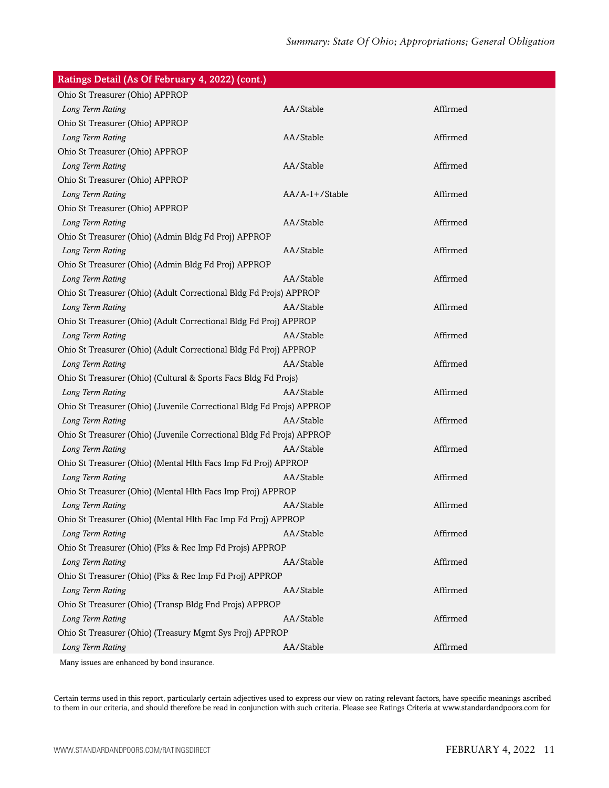| Ratings Detail (As Of February 4, 2022) (cont.)                       |                |          |
|-----------------------------------------------------------------------|----------------|----------|
| Ohio St Treasurer (Ohio) APPROP                                       |                |          |
| Long Term Rating                                                      | AA/Stable      | Affirmed |
| Ohio St Treasurer (Ohio) APPROP                                       |                |          |
| Long Term Rating                                                      | AA/Stable      | Affirmed |
| Ohio St Treasurer (Ohio) APPROP                                       |                |          |
| Long Term Rating                                                      | AA/Stable      | Affirmed |
| Ohio St Treasurer (Ohio) APPROP                                       |                |          |
| Long Term Rating                                                      | AA/A-1+/Stable | Affirmed |
| Ohio St Treasurer (Ohio) APPROP                                       |                |          |
| Long Term Rating                                                      | AA/Stable      | Affirmed |
| Ohio St Treasurer (Ohio) (Admin Bldg Fd Proj) APPROP                  |                |          |
| Long Term Rating                                                      | AA/Stable      | Affirmed |
| Ohio St Treasurer (Ohio) (Admin Bldg Fd Proj) APPROP                  |                |          |
| Long Term Rating                                                      | AA/Stable      | Affirmed |
| Ohio St Treasurer (Ohio) (Adult Correctional Bldg Fd Projs) APPROP    |                |          |
| Long Term Rating                                                      | AA/Stable      | Affirmed |
| Ohio St Treasurer (Ohio) (Adult Correctional Bldg Fd Proj) APPROP     |                |          |
| Long Term Rating                                                      | AA/Stable      | Affirmed |
| Ohio St Treasurer (Ohio) (Adult Correctional Bldg Fd Proj) APPROP     |                |          |
| Long Term Rating                                                      | AA/Stable      | Affirmed |
| Ohio St Treasurer (Ohio) (Cultural & Sports Facs Bldg Fd Projs)       |                |          |
| Long Term Rating                                                      | AA/Stable      | Affirmed |
| Ohio St Treasurer (Ohio) (Juvenile Correctional Bldg Fd Projs) APPROP |                |          |
| Long Term Rating                                                      | AA/Stable      | Affirmed |
| Ohio St Treasurer (Ohio) (Juvenile Correctional Bldg Fd Projs) APPROP |                |          |
| Long Term Rating                                                      | AA/Stable      | Affirmed |
| Ohio St Treasurer (Ohio) (Mental Hlth Facs Imp Fd Proj) APPROP        |                |          |
| Long Term Rating                                                      | AA/Stable      | Affirmed |
| Ohio St Treasurer (Ohio) (Mental Hlth Facs Imp Proj) APPROP           |                |          |
| Long Term Rating                                                      | AA/Stable      | Affirmed |
| Ohio St Treasurer (Ohio) (Mental Hlth Fac Imp Fd Proj) APPROP         |                |          |
| Long Term Rating                                                      | AA/Stable      | Affirmed |
| Ohio St Treasurer (Ohio) (Pks & Rec Imp Fd Projs) APPROP              |                |          |
| Long Term Rating                                                      | AA/Stable      | Affirmed |
| Ohio St Treasurer (Ohio) (Pks & Rec Imp Fd Proj) APPROP               |                |          |
| Long Term Rating                                                      | AA/Stable      | Affirmed |
| Ohio St Treasurer (Ohio) (Transp Bldg Fnd Projs) APPROP               |                |          |
| Long Term Rating                                                      | AA/Stable      | Affirmed |
| Ohio St Treasurer (Ohio) (Treasury Mgmt Sys Proj) APPROP              |                |          |
| Long Term Rating                                                      | AA/Stable      | Affirmed |
|                                                                       |                |          |

Many issues are enhanced by bond insurance.

Certain terms used in this report, particularly certain adjectives used to express our view on rating relevant factors, have specific meanings ascribed to them in our criteria, and should therefore be read in conjunction with such criteria. Please see Ratings Criteria at www.standardandpoors.com for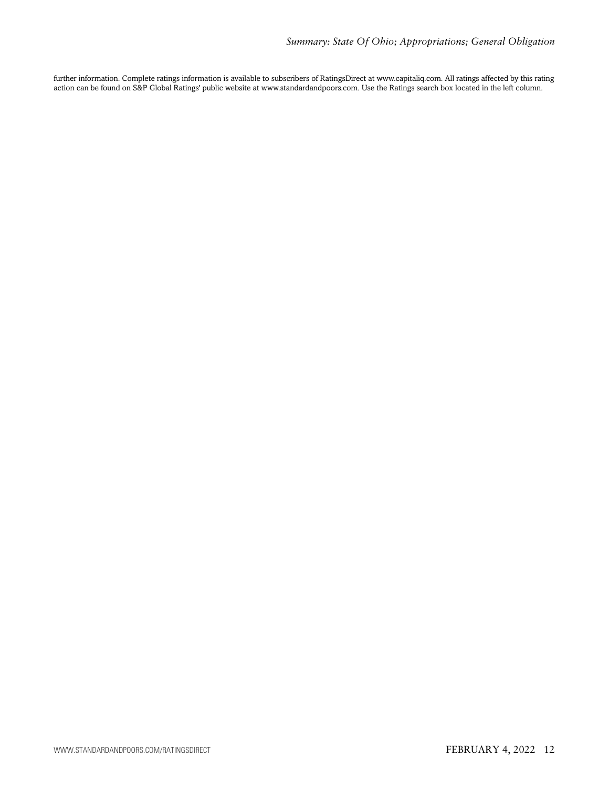further information. Complete ratings information is available to subscribers of RatingsDirect at www.capitaliq.com. All ratings affected by this rating action can be found on S&P Global Ratings' public website at www.standardandpoors.com. Use the Ratings search box located in the left column.